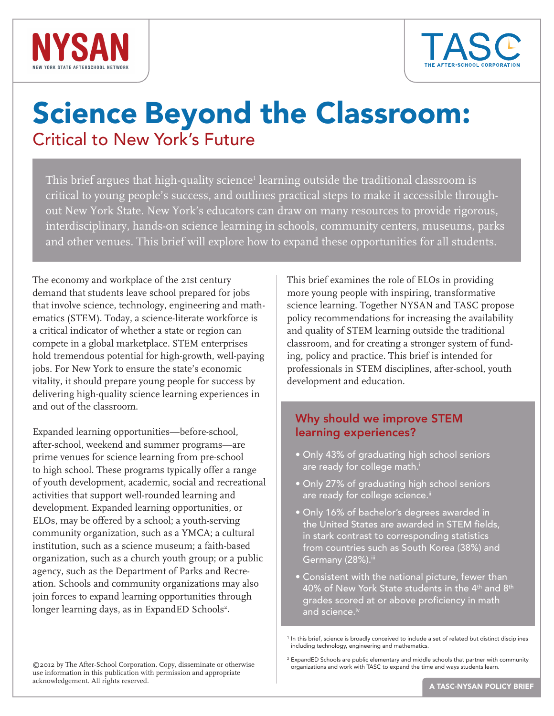



# Science Beyond the Classroom: Critical to New York's Future

This brief argues that high-quality science $^{\scriptscriptstyle 1}$  learning outside the traditional classroom is  $^{\scriptscriptstyle 1}$ critical to young people's success, and outlines practical steps to make it accessible throughout New York State. New York's educators can draw on many resources to provide rigorous, interdisciplinary, hands-on science learning in schools, community centers, museums, parks and other venues. This brief will explore how to expand these opportunities for all students.

The economy and workplace of the 21st century demand that students leave school prepared for jobs that involve science, technology, engineering and mathematics (STEM). Today, a science-literate workforce is a critical indicator of whether a state or region can compete in a global marketplace. STEM enterprises hold tremendous potential for high-growth, well-paying jobs. For New York to ensure the state's economic vitality, it should prepare young people for success by delivering high-quality science learning experiences in and out of the classroom.

Expanded learning opportunities—before-school, after-school, weekend and summer programs—are prime venues for science learning from pre-school to high school. These programs typically offer a range of youth development, academic, social and recreational activities that support well-rounded learning and development. Expanded learning opportunities, or ELOs, may be offered by a school; a youth-serving community organization, such as a YMCA; a cultural institution, such as a science museum; a faith-based organization, such as a church youth group; or a public agency, such as the Department of Parks and Recreation. Schools and community organizations may also join forces to expand learning opportunities through longer learning days, as in ExpandED Schools<sup>2</sup>.

This brief examines the role of ELOs in providing more young people with inspiring, transformative science learning. Together NYSAN and TASC propose policy recommendations for increasing the availability and quality of STEM learning outside the traditional classroom, and for creating a stronger system of funding, policy and practice. This brief is intended for professionals in STEM disciplines, after-school, youth development and education.

# Why should we improve STEM learning experiences?

- Only 43% of graduating high school seniors are ready for college math.<sup>i</sup>
- Only 27% of graduating high school seniors are ready for college science.<sup>ii</sup>
- Only 16% of bachelor's degrees awarded in the United States are awarded in STEM fields, in stark contrast to corresponding statistics from countries such as South Korea (38%) and Germany (28%).iii
- Consistent with the national picture, fewer than 40% of New York State students in the 4<sup>th</sup> and 8<sup>th</sup> grades scored at or above proficiency in math and science.<sup>iv</sup>

<sup>2</sup> ExpandED Schools are public elementary and middle schools that partner with community organizations and work with TASC to expand the time and ways students learn.

<sup>&</sup>lt;sup>1</sup> In this brief, science is broadly conceived to include a set of related but distinct disciplines including technology, engineering and mathematics.

<sup>©2012</sup> by The After-School Corporation. Copy, disseminate or otherwise use information in this publication with permission and appropriate acknowledgement. All rights reserved.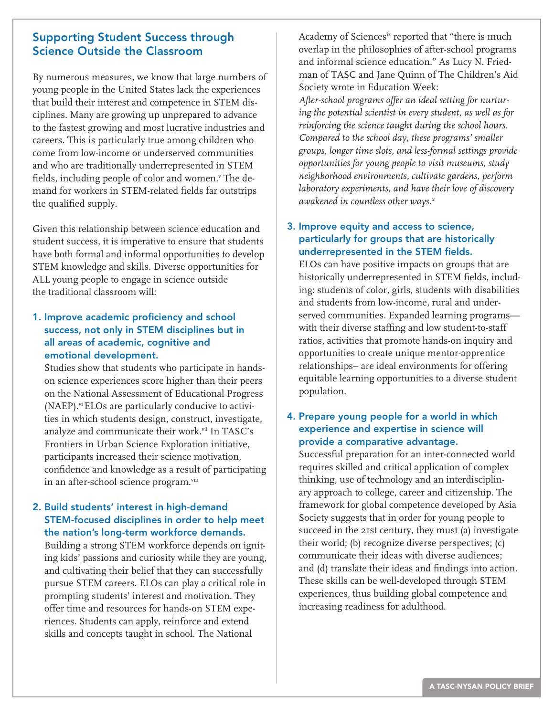## Supporting Student Success through Science Outside the Classroom

By numerous measures, we know that large numbers of young people in the United States lack the experiences that build their interest and competence in STEM disciplines. Many are growing up unprepared to advance to the fastest growing and most lucrative industries and careers. This is particularly true among children who come from low-income or underserved communities and who are traditionally underrepresented in STEM fields, including people of color and women.<sup>v</sup> The demand for workers in STEM-related fields far outstrips the qualified supply.

Given this relationship between science education and student success, it is imperative to ensure that students have both formal and informal opportunities to develop STEM knowledge and skills. Diverse opportunities for ALL young people to engage in science outside the traditional classroom will:

1. Improve academic proficiency and school success, not only in STEM disciplines but in all areas of academic, cognitive and emotional development.

Studies show that students who participate in handson science experiences score higher than their peers on the National Assessment of Educational Progress (NAEP).<sup>vi</sup> ELOs are particularly conducive to activities in which students design, construct, investigate, analyze and communicate their work.<sup>vii</sup> In TASC's Frontiers in Urban Science Exploration initiative, participants increased their science motivation, confidence and knowledge as a result of participating in an after-school science program.viii

### 2. Build students' interest in high-demand STEM-focused disciplines in order to help meet the nation's long-term workforce demands.

Building a strong STEM workforce depends on igniting kids' passions and curiosity while they are young, and cultivating their belief that they can successfully pursue STEM careers. ELOs can play a critical role in prompting students' interest and motivation. They offer time and resources for hands-on STEM experiences. Students can apply, reinforce and extend skills and concepts taught in school. The National

Academy of Sciencesix reported that "there is much overlap in the philosophies of after-school programs and informal science education." As Lucy N. Friedman of TASC and Jane Quinn of The Children's Aid Society wrote in Education Week: *After-school programs offer an ideal setting for nurturing the potential scientist in every student, as well as for reinforcing the science taught during the school hours. Compared to the school day, these programs' smaller groups, longer time slots, and less-formal settings provide opportunities for young people to visit museums, study neighborhood environments, cultivate gardens, perform laboratory experiments, and have their love of discovery awakened in countless other ways.x*

## 3. Improve equity and access to science, particularly for groups that are historically underrepresented in the STEM fields.

ELOs can have positive impacts on groups that are historically underrepresented in STEM fields, including: students of color, girls, students with disabilities and students from low-income, rural and underserved communities. Expanded learning programs with their diverse staffing and low student-to-staff ratios, activities that promote hands-on inquiry and opportunities to create unique mentor-apprentice relationships– are ideal environments for offering equitable learning opportunities to a diverse student population.

## 4. Prepare young people for a world in which experience and expertise in science will provide a comparative advantage.

Successful preparation for an inter-connected world requires skilled and critical application of complex thinking, use of technology and an interdisciplinary approach to college, career and citizenship. The framework for global competence developed by Asia Society suggests that in order for young people to succeed in the 21st century, they must (a) investigate their world; (b) recognize diverse perspectives; (c) communicate their ideas with diverse audiences; and (d) translate their ideas and findings into action. These skills can be well-developed through STEM experiences, thus building global competence and increasing readiness for adulthood.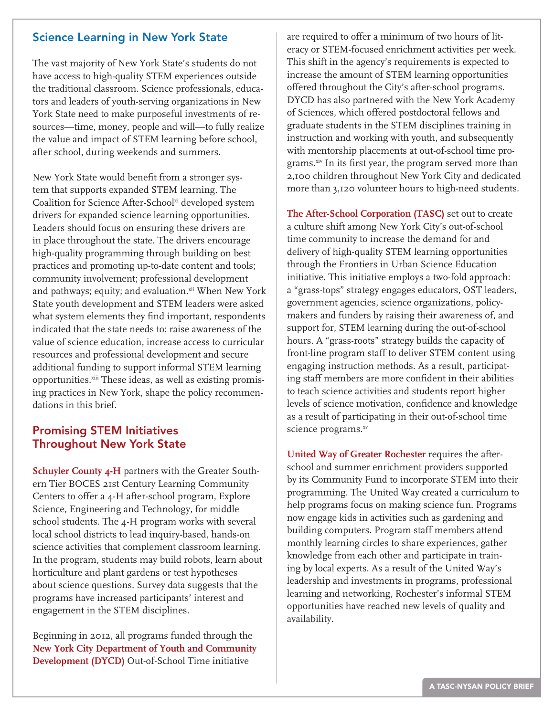## Science Learning in New York State

The vast majority of New York State's students do not have access to high-quality STEM experiences outside the traditional classroom. Science professionals, educators and leaders of youth-serving organizations in New York State need to make purposeful investments of resources—time, money, people and will—to fully realize the value and impact of STEM learning before school, after school, during weekends and summers.

New York State would benefit from a stronger system that supports expanded STEM learning. The Coalition for Science After-Schoolxi developed system drivers for expanded science learning opportunities. Leaders should focus on ensuring these drivers are in place throughout the state. The drivers encourage high-quality programming through building on best practices and promoting up-to-date content and tools; community involvement; professional development and pathways; equity; and evaluation.xii When New York State youth development and STEM leaders were asked what system elements they find important, respondents indicated that the state needs to: raise awareness of the value of science education, increase access to curricular resources and professional development and secure additional funding to support informal STEM learning opportunities.<sup>xiii</sup> These ideas, as well as existing promising practices in New York, shape the policy recommendations in this brief.

# Promising STEM Initiatives Throughout New York State

**Schuyler County 4-H** partners with the Greater Southern Tier BOCES 21st Century Learning Community Centers to offer a 4-H after-school program, Explore Science, Engineering and Technology, for middle school students. The 4-H program works with several local school districts to lead inquiry-based, hands-on science activities that complement classroom learning. In the program, students may build robots, learn about horticulture and plant gardens or test hypotheses about science questions. Survey data suggests that the programs have increased participants' interest and engagement in the STEM disciplines.

Beginning in 2012, all programs funded through the **New York City Department of Youth and Community Development (DYCD)** Out-of-School Time initiative

are required to offer a minimum of two hours of literacy or STEM-focused enrichment activities per week. This shift in the agency's requirements is expected to increase the amount of STEM learning opportunities offered throughout the City's after-school programs. DYCD has also partnered with the New York Academy of Sciences, which offered postdoctoral fellows and graduate students in the STEM disciplines training in instruction and working with youth, and subsequently with mentorship placements at out-of-school time programs.<sup>xiv</sup> In its first year, the program served more than 2,100 children throughout New York City and dedicated more than 3,120 volunteer hours to high-need students.

**The After-School Corporation (TASC)** set out to create a culture shift among New York City's out-of-school time community to increase the demand for and delivery of high-quality STEM learning opportunities through the Frontiers in Urban Science Education initiative. This initiative employs a two-fold approach: a "grass-tops" strategy engages educators, OST leaders, government agencies, science organizations, policymakers and funders by raising their awareness of, and support for, STEM learning during the out-of-school hours. A "grass-roots" strategy builds the capacity of front-line program staff to deliver STEM content using engaging instruction methods. As a result, participating staff members are more confident in their abilities to teach science activities and students report higher levels of science motivation, confidence and knowledge as a result of participating in their out-of-school time science programs.xv

**United Way of Greater Rochester** requires the afterschool and summer enrichment providers supported by its Community Fund to incorporate STEM into their programming. The United Way created a curriculum to help programs focus on making science fun. Programs now engage kids in activities such as gardening and building computers. Program staff members attend monthly learning circles to share experiences, gather knowledge from each other and participate in training by local experts. As a result of the United Way's leadership and investments in programs, professional learning and networking, Rochester's informal STEM opportunities have reached new levels of quality and availability.